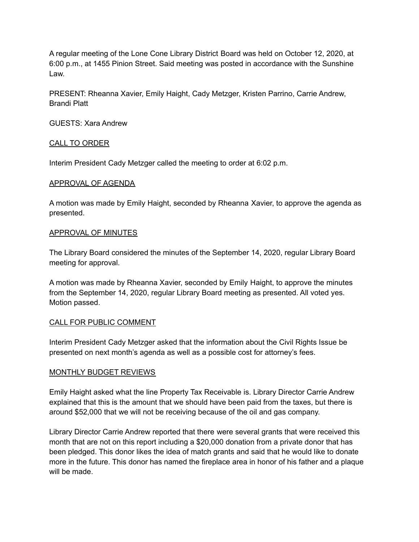A regular meeting of the Lone Cone Library District Board was held on October 12, 2020, at 6:00 p.m., at 1455 Pinion Street. Said meeting was posted in accordance with the Sunshine Law.

PRESENT: Rheanna Xavier, Emily Haight, Cady Metzger, Kristen Parrino, Carrie Andrew, Brandi Platt

GUESTS: Xara Andrew

## CALL TO ORDER

Interim President Cady Metzger called the meeting to order at 6:02 p.m.

## APPROVAL OF AGENDA

A motion was made by Emily Haight, seconded by Rheanna Xavier, to approve the agenda as presented.

## APPROVAL OF MINUTES

The Library Board considered the minutes of the September 14, 2020, regular Library Board meeting for approval.

A motion was made by Rheanna Xavier, seconded by Emily Haight, to approve the minutes from the September 14, 2020, regular Library Board meeting as presented. All voted yes. Motion passed.

## CALL FOR PUBLIC COMMENT

Interim President Cady Metzger asked that the information about the Civil Rights Issue be presented on next month's agenda as well as a possible cost for attorney's fees.

## MONTHLY BUDGET REVIEWS

Emily Haight asked what the line Property Tax Receivable is. Library Director Carrie Andrew explained that this is the amount that we should have been paid from the taxes, but there is around \$52,000 that we will not be receiving because of the oil and gas company.

Library Director Carrie Andrew reported that there were several grants that were received this month that are not on this report including a \$20,000 donation from a private donor that has been pledged. This donor likes the idea of match grants and said that he would like to donate more in the future. This donor has named the fireplace area in honor of his father and a plaque will be made.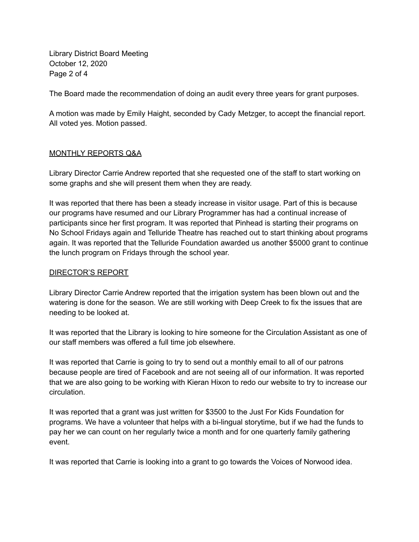Library District Board Meeting October 12, 2020 Page 2 of 4

The Board made the recommendation of doing an audit every three years for grant purposes.

A motion was made by Emily Haight, seconded by Cady Metzger, to accept the financial report. All voted yes. Motion passed.

## MONTHLY REPORTS Q&A

Library Director Carrie Andrew reported that she requested one of the staff to start working on some graphs and she will present them when they are ready.

It was reported that there has been a steady increase in visitor usage. Part of this is because our programs have resumed and our Library Programmer has had a continual increase of participants since her first program. It was reported that Pinhead is starting their programs on No School Fridays again and Telluride Theatre has reached out to start thinking about programs again. It was reported that the Telluride Foundation awarded us another \$5000 grant to continue the lunch program on Fridays through the school year.

## DIRECTOR'S REPORT

Library Director Carrie Andrew reported that the irrigation system has been blown out and the watering is done for the season. We are still working with Deep Creek to fix the issues that are needing to be looked at.

It was reported that the Library is looking to hire someone for the Circulation Assistant as one of our staff members was offered a full time job elsewhere.

It was reported that Carrie is going to try to send out a monthly email to all of our patrons because people are tired of Facebook and are not seeing all of our information. It was reported that we are also going to be working with Kieran Hixon to redo our website to try to increase our circulation.

It was reported that a grant was just written for \$3500 to the Just For Kids Foundation for programs. We have a volunteer that helps with a bi-lingual storytime, but if we had the funds to pay her we can count on her regularly twice a month and for one quarterly family gathering event.

It was reported that Carrie is looking into a grant to go towards the Voices of Norwood idea.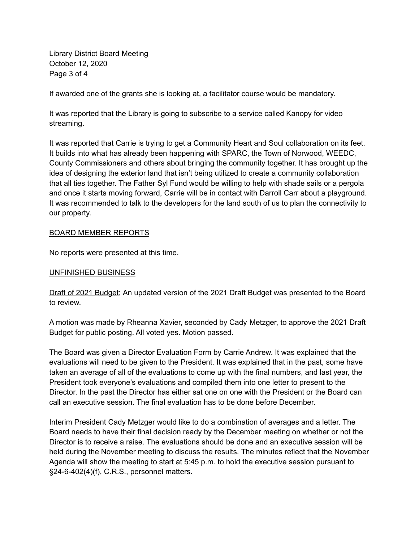Library District Board Meeting October 12, 2020 Page 3 of 4

If awarded one of the grants she is looking at, a facilitator course would be mandatory.

It was reported that the Library is going to subscribe to a service called Kanopy for video streaming.

It was reported that Carrie is trying to get a Community Heart and Soul collaboration on its feet. It builds into what has already been happening with SPARC, the Town of Norwood, WEEDC, County Commissioners and others about bringing the community together. It has brought up the idea of designing the exterior land that isn't being utilized to create a community collaboration that all ties together. The Father Syl Fund would be willing to help with shade sails or a pergola and once it starts moving forward, Carrie will be in contact with Darroll Carr about a playground. It was recommended to talk to the developers for the land south of us to plan the connectivity to our property.

#### BOARD MEMBER REPORTS

No reports were presented at this time.

#### UNFINISHED BUSINESS

Draft of 2021 Budget: An updated version of the 2021 Draft Budget was presented to the Board to review.

A motion was made by Rheanna Xavier, seconded by Cady Metzger, to approve the 2021 Draft Budget for public posting. All voted yes. Motion passed.

The Board was given a Director Evaluation Form by Carrie Andrew. It was explained that the evaluations will need to be given to the President. It was explained that in the past, some have taken an average of all of the evaluations to come up with the final numbers, and last year, the President took everyone's evaluations and compiled them into one letter to present to the Director. In the past the Director has either sat one on one with the President or the Board can call an executive session. The final evaluation has to be done before December.

Interim President Cady Metzger would like to do a combination of averages and a letter. The Board needs to have their final decision ready by the December meeting on whether or not the Director is to receive a raise. The evaluations should be done and an executive session will be held during the November meeting to discuss the results. The minutes reflect that the November Agenda will show the meeting to start at 5:45 p.m. to hold the executive session pursuant to §24-6-402(4)(f), C.R.S., personnel matters.